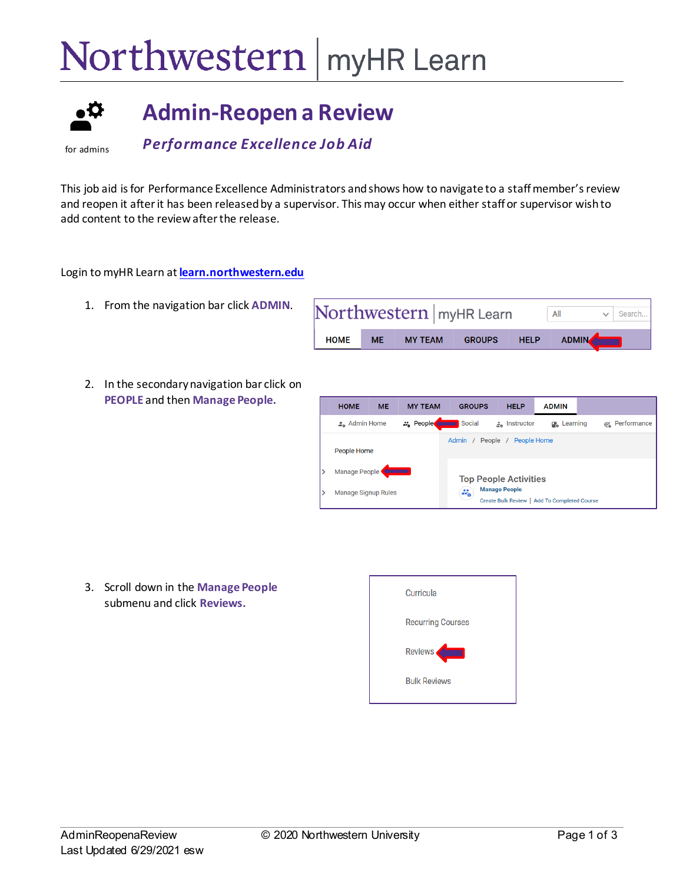## Northwestern | myHR Learn



## **Admin-Reopen a Review**

for admins

*Performance Excellence Job Aid* 

This job aid is for Performance Excellence Administrators andshows how to navigate to a staff member's review and reopen it after it has been releasedby a supervisor. This may occur when either staff or supervisor wish to add content to the review after the release.

Login to myHR Learn at **[learn.northwestern.edu](http://learn.northwestern.edu/)**

- 1. From the navigation bar click **ADMIN**.
- 2. In the secondary navigation bar click on **PEOPLE** and then **Manage People.**

|             |           | Northwestern   myHR Learn |               |             | All          | Search |
|-------------|-----------|---------------------------|---------------|-------------|--------------|--------|
| <b>HOME</b> | <b>ME</b> | <b>MY TEAM</b>            | <b>GROUPS</b> | <b>HELP</b> | <b>ADMIN</b> |        |

| <b>HOME</b>                | <b>ME</b> | <b>MY TEAM</b>   | <b>GROUPS</b>          | <b>HELP</b>                                                          | <b>ADMIN</b>                   |               |
|----------------------------|-----------|------------------|------------------------|----------------------------------------------------------------------|--------------------------------|---------------|
| $\frac{1}{4}$ Admin Home   |           | <b>22</b> People | Social                 | $\frac{2}{2a}$ Instructor                                            | <b>D</b> <sub>n</sub> Learning | @ Performance |
| People Home                |           |                  | Admin /                | People Home<br>People /                                              |                                |               |
| Manage People              |           |                  |                        | <b>Top People Activities</b>                                         |                                |               |
| <b>Manage Signup Rules</b> |           |                  | $\mathcal{Z}_{\alpha}$ | <b>Manage People</b><br>Create Bulk Review   Add To Completed Course |                                |               |

3. Scroll down in the **Manage People** submenu and click **Reviews.**

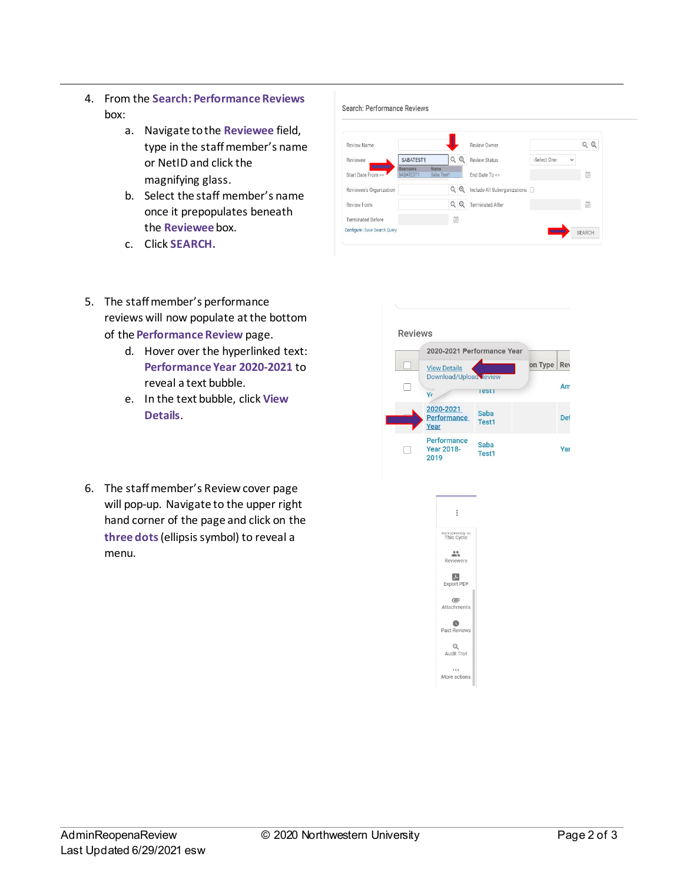- 4. From the **Search: Performance Reviews** box:
	- a. Navigate to the **Reviewee** field, type in the staff member's name or NetID and click the magnifying glass.
	- b. Select the staff member's name once it prepopulates beneath the **Reviewee** box.
	- c. Click **SEARCH.**

## Search: Performance Reviews



- 5. The staff member's performance reviews will now populate at the bottom of the **Performance Review** page.
	- d. Hover over the hyperlinked text: **Performance Year 2020-2021** to reveal a text bubble.
	- e. In the text bubble, click **View Details**.
- 6. The staff member's Review cover page will pop-up. Navigate to the upper right hand corner of the page and click on the **three dots**(ellipsis symbol) to reveal a menu.